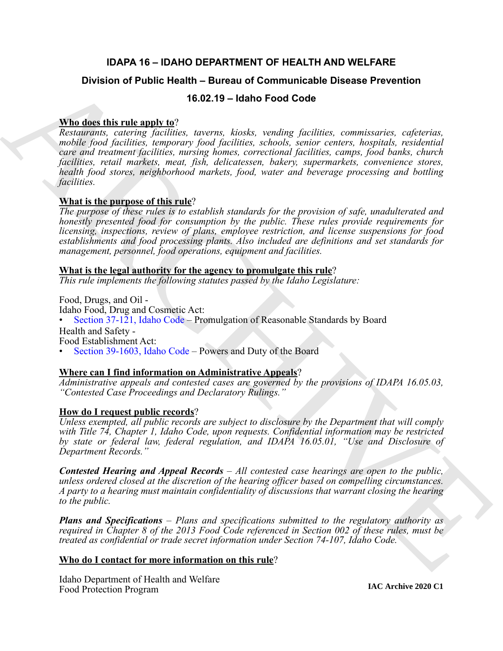# **IDAPA 16 – IDAHO DEPARTMENT OF HEALTH AND WELFARE**

# **Division of Public Health – Bureau of Communicable Disease Prevention**

# **16.02.19 – Idaho Food Code**

# **Who does this rule apply to**?

**Division of Public Health – Bureau of [C](https://legislature.idaho.gov/statutesrules/idstat/Title37/T37CH1/SECT37-121/)ommunicable Disease Prevention<br>
Whichase this rule and very and very and the high factorize, connections, capternia,<br>
Resolutions, computers, including the shock communication, comp** *Restaurants, catering facilities, taverns, kiosks, vending facilities, commissaries, cafeterias, mobile food facilities, temporary food facilities, schools, senior centers, hospitals, residential care and treatment facilities, nursing homes, correctional facilities, camps, food banks, church facilities, retail markets, meat, fish, delicatessen, bakery, supermarkets, convenience stores, health food stores, neighborhood markets, food, water and beverage processing and bottling facilities.*

# **What is the purpose of this rule**?

*The purpose of these rules is to establish standards for the provision of safe, unadulterated and honestly presented food for consumption by the public. These rules provide requirements for licensing, inspections, review of plans, employee restriction, and license suspensions for food establishments and food processing plants. Also included are definitions and set standards for management, personnel, food operations, equipment and facilities.*

# **What is the legal authority for the agency to promulgate this rule**?

*This rule implements the following statutes passed by the Idaho Legislature:*

Food, Drugs, and Oil - Idaho Food, Drug and Cosmetic Act:

Section 37-121, Idaho Code – Promulgation of Reasonable Standards by Board

Health and Safety -

Food Establishment Act:

• Section 39-1603, Idaho Code – Powers and Duty of the Board

# **Where can I find information on Administrative Appeals**?

*Administrative appeals and contested cases are governed by the provisions of IDAPA 16.05.03, "Contested Case Proceedings and Declaratory Rulings."*

# **How do I request public records**?

*Unless exempted, all public records are subject to disclosure by the Department that will comply with Title 74, Chapter 1, Idaho Code, upon requests. Confidential information may be restricted by state or federal law, federal regulation, and IDAPA 16.05.01, "Use and Disclosure of Department Records."*

*Contested Hearing and Appeal Records – All contested case hearings are open to the public, unless ordered closed at the discretion of the hearing officer based on compelling circumstances. A party to a hearing must maintain confidentiality of discussions that warrant closing the hearing to the public.*

*Plans and Specifications – Plans and specifications submitted to the regulatory authority as required in Chapter 8 of the 2013 Food Code referenced in Section 002 of these rules, must be treated as confidential or trade secret information under Section 74-107, Idaho Code.*

# **Who do I contact for more information on this rule**?

Idaho Department of Health and Welfare Food Protection Program

**IAC Archive 2020 C1**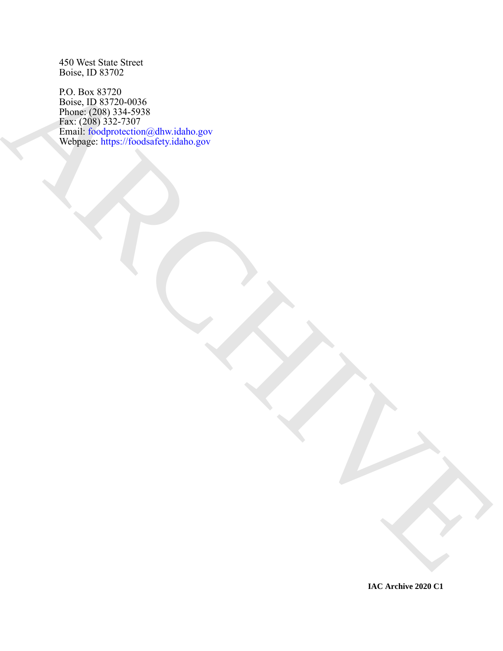450 West State Street Boise, ID 83702

RO BE SIZZ[A](mailto: foodprotection@dhw.idaho.gov) ONE<br>A[R](https://foodsafety.idaho.gov)CHIVESCO ANDRE CONTRACTOR CONTRACTOR ON A RACHAEL AND CONTRACTOR CONTRACTOR CONTRACTOR CONTRACTOR CONTRACTOR CONTRACTOR CONTRACTOR CONTRACTOR CONTRACTOR CONTRACTOR CONTRACTOR CONTRACTOR CONTRACTOR CONTRAC P.O. Box 83720 Boise, ID 83720-0036 Phone: (208) 334-5938 Fax: (208) 332-7307 Email: foodprotection@dhw.idaho.gov Webpage: https://foodsafety.idaho.gov

**IAC Archive 2020 C1**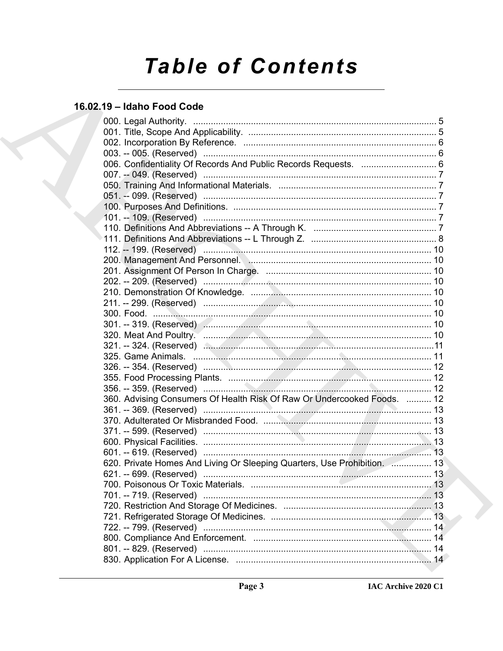# **Table of Contents**

# 16.02.19 - Idaho Food Code

| 006. Confidentiality Of Records And Public Records Requests.  6          |  |
|--------------------------------------------------------------------------|--|
|                                                                          |  |
|                                                                          |  |
|                                                                          |  |
|                                                                          |  |
|                                                                          |  |
|                                                                          |  |
|                                                                          |  |
|                                                                          |  |
|                                                                          |  |
|                                                                          |  |
|                                                                          |  |
|                                                                          |  |
| 211. -- 299. (Reserved) …………………………………………………………………………… 10                 |  |
|                                                                          |  |
|                                                                          |  |
|                                                                          |  |
|                                                                          |  |
|                                                                          |  |
|                                                                          |  |
|                                                                          |  |
|                                                                          |  |
| 360. Advising Consumers Of Health Risk Of Raw Or Undercooked Foods.  12  |  |
|                                                                          |  |
|                                                                          |  |
|                                                                          |  |
|                                                                          |  |
|                                                                          |  |
| 620. Private Homes And Living Or Sleeping Quarters, Use Prohibition.  13 |  |
|                                                                          |  |
|                                                                          |  |
|                                                                          |  |
|                                                                          |  |
|                                                                          |  |
|                                                                          |  |
|                                                                          |  |
|                                                                          |  |
|                                                                          |  |
|                                                                          |  |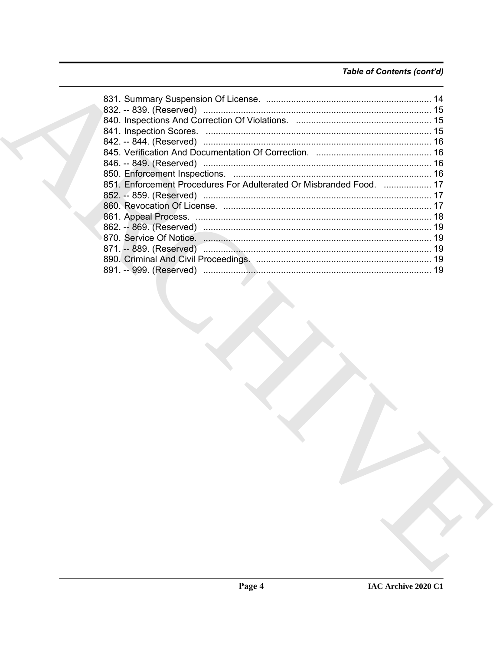# Table of Contents (cont'd)

| 851. Enforcement Procedures For Adulterated Or Misbranded Food.  17 |  |
|---------------------------------------------------------------------|--|
|                                                                     |  |
|                                                                     |  |
|                                                                     |  |
|                                                                     |  |
|                                                                     |  |
|                                                                     |  |
|                                                                     |  |
|                                                                     |  |
|                                                                     |  |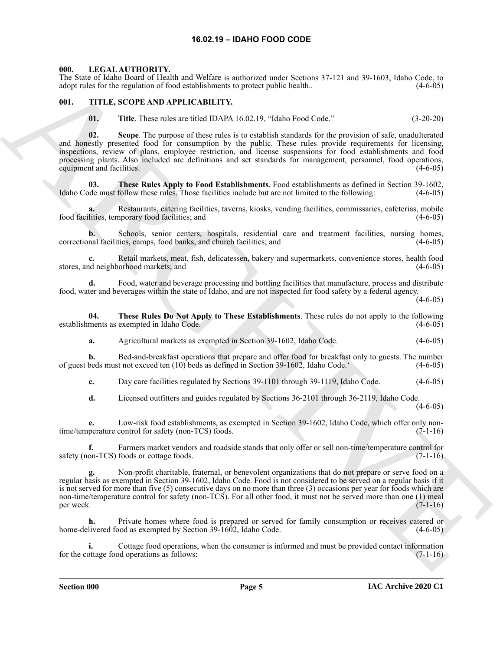## **16.02.19 – IDAHO FOOD CODE**

#### <span id="page-4-3"></span><span id="page-4-1"></span><span id="page-4-0"></span>**000. LEGAL AUTHORITY.**

The State of Idaho Board of Health and Welfare is authorized under Sections 37-121 and 39-1603, Idaho Code, to adopt rules for the regulation of food establishments to protect public health.. (4-6-05)

#### <span id="page-4-2"></span>**001. TITLE, SCOPE AND APPLICABILITY.**

<span id="page-4-4"></span>**01. Title**. These rules are titled IDAPA 16.02.19, "Idaho Food Code." (3-20-20)

This place is behavioral likelihood in the basic subsection with Systems 37-121 and 38-1603, bisho Cole, it is followed to the state of the state of the state of the state of the state of the state of the state of the sta **02. Scope**. The purpose of these rules is to establish standards for the provision of safe, unadulterated and honestly presented food for consumption by the public. These rules provide requirements for licensing, inspections, review of plans, employee restriction, and license suspensions for food establishments and food processing plants. Also included are definitions and set standards for management, personnel, food operations, equipment and facilities. (4-6-05)

**03. These Rules Apply to Food Establishments**. Food establishments as defined in Section 39-1602, Idaho Code must follow these rules. Those facilities include but are not limited to the following: (4-6-05)

Restaurants, catering facilities, taverns, kiosks, vending facilities, commissaries, cafeterias, mobile nporary food facilities; and (4-6-05) food facilities, temporary food facilities; and

**b.** Schools, senior centers, hospitals, residential care and treatment facilities, nursing homes, correctional facilities, camps, food banks, and church facilities; and (4-6-05)

**c.** Retail markets, meat, fish, delicatessen, bakery and supermarkets, convenience stores, health food stores, and neighborhood markets; and (4-6-05)

**d.** Food, water and beverage processing and bottling facilities that manufacture, process and distribute food, water and beverages within the state of Idaho, and are not inspected for food safety by a federal agency.

 $(4-6-05)$ 

**04. These Rules Do Not Apply to These Establishments**. These rules do not apply to the following establishments as exempted in Idaho Code.

**a.** Agricultural markets as exempted in Section 39-1602, Idaho Code. (4-6-05)

**b.** Bed-and-breakfast operations that prepare and offer food for breakfast only to guests. The number beds must not exceed ten (10) beds as defined in Section 39-1602, Idaho Code. (4-6-05) of guest beds must not exceed ten (10) beds as defined in Section 39-1602, Idaho Code.'

**c.** Day care facilities regulated by Sections 39-1101 through 39-1119, Idaho Code. (4-6-05)

**d.** Licensed outfitters and guides regulated by Sections 36-2101 through 36-2119, Idaho Code.

(4-6-05)

**e.** Low-risk food establishments, as exempted in Section 39-1602, Idaho Code, which offer only nontime/temperature control for safety (non-TCS) foods. (7-1-16)

Farmers market vendors and roadside stands that only offer or sell non-time/temperature control for safety (non-TCS) foods or cottage foods. (7-1-16)

**g.** Non-profit charitable, fraternal, or benevolent organizations that do not prepare or serve food on a regular basis as exempted in Section 39-1602, Idaho Code. Food is not considered to be served on a regular basis if it is not served for more than five (5) consecutive days on no more than three (3) occasions per year for foods which are non-time/temperature control for safety (non-TCS). For all other food, it must not be served more than one (1) meal per week.  $(7-1-16)$ 

**h.** Private homes where food is prepared or served for family consumption or receives catered or home-delivered food as exempted by Section 39-1602, Idaho Code. (4-6-05)

**i.** Cottage food operations, when the consumer is informed and must be provided contact information for the cottage food operations as follows: (7-1-16)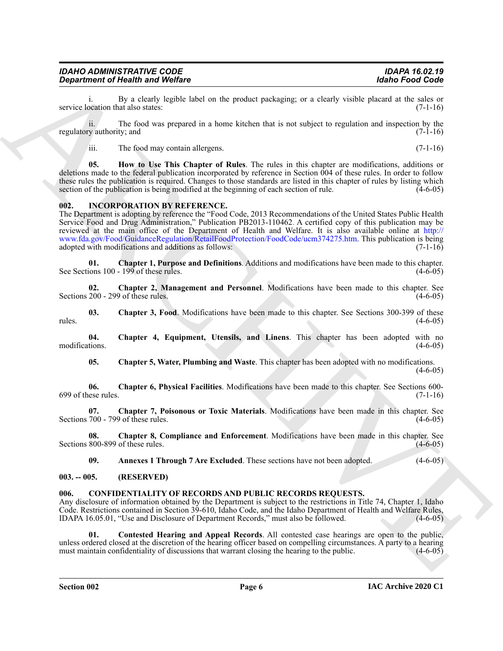| <b>IDAHO ADMINISTRATIVE CODE</b> | <b>IDAPA 16.02.19</b> |
|----------------------------------|-----------------------|
| Department of Health and Welfare | Idaho Food Code       |

i. By a clearly legible label on the product packaging; or a clearly visible placard at the sales or ocation that also states: (7-1-16) service location that also states:

ii. The food was prepared in a home kitchen that is not subject to regulation and inspection by the regulatory authority; and  $(7-1-16)$ 

iii. The food may contain allergens. (7-1-16)

**05. How to Use This Chapter of Rules**. The rules in this chapter are modifications, additions or deletions made to the federal publication incorporated by reference in Section 004 of these rules. In order to follow these rules the publication is required. Changes to those standards are listed in this chapter of rules by listing which section of the publication is being modified at the beginning of each section of rule.  $(4-6-05)$ 

#### <span id="page-5-4"></span><span id="page-5-0"></span>**002. INCORPORATION BY REFERENCE.**

**Equation of Health and Welling Constraints and Residents** are visably state for each constraints and the state of the state of the state of the state of the state of the state of the state of the state of the state of th The Department is adopting by reference the "Food Code, 2013 Recommendations of the United States Public Health Service Food and Drug Administration," Publication PB2013-110462. A certified copy of this publication may be reviewed at the main office of the Department of Health and Welfare. It is also available online at http:// www.fda.gov/Food/GuidanceRegulation/RetailFoodProtection/FoodCode/ucm374275.htm. This publication is being adopted with modifications and additions as follows: (7-1-16)

**01. Chapter 1, Purpose and Definitions**. Additions and modifications have been made to this chapter. See Sections 100 - 199 of these rules.

**02. Chapter 2, Management and Personnel**. Modifications have been made to this chapter. See Sections  $200 - 299$  of these rules. (4-6-05)

**03. Chapter 3, Food**. Modifications have been made to this chapter. See Sections 300-399 of these  $r_{\text{rules}}$ . (4-6-05)

**04. Chapter 4, Equipment, Utensils, and Linens**. This chapter has been adopted with no modifications. (4-6-05)

**05. Chapter 5, Water, Plumbing and Waste**. This chapter has been adopted with no modifications.

 $(4-6-05)$ 

**06. Chapter 6, Physical Facilities**. Modifications have been made to this chapter. See Sections 600-  $699$  of these rules.  $(7-1-16)$ 

**07. Chapter 7, Poisonous or Toxic Materials**. Modifications have been made in this chapter. See Sections 700 - 799 of these rules.

**08. Chapter 8, Compliance and Enforcement**. Modifications have been made in this chapter. See Sections 800-899 of these rules. (4-6-05)

<span id="page-5-3"></span>**09.** Annexes 1 Through 7 Are Excluded. These sections have not been adopted. (4-6-05)

#### <span id="page-5-1"></span>**003. -- 005. (RESERVED)**

#### <span id="page-5-2"></span>**006. CONFIDENTIALITY OF RECORDS AND PUBLIC RECORDS REQUESTS.**

Any disclosure of information obtained by the Department is subject to the restrictions in Title 74, Chapter 1, Idaho Code. Restrictions contained in Section 39-610, Idaho Code, and the Idaho Department of Health and Welfare Rules, IDAPA 16.05.01, "Use and Disclosure of Department Records," must also be followed. (4-6-05)

**01. Contested Hearing and Appeal Records**. All contested case hearings are open to the public, unless ordered closed at the discretion of the hearing officer based on compelling circumstances. A party to a hearing must maintain confidentiality of discussions that warrant closing the hearing to the public.  $(4-6-05)$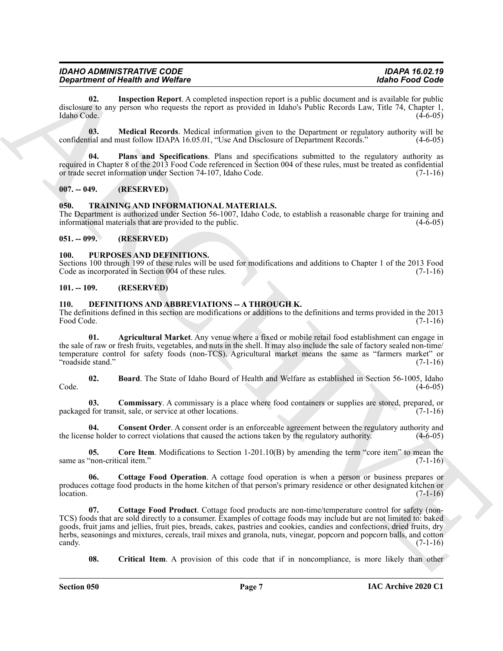| <b>IDAHO ADMINISTRATIVE CODE</b> |  |
|----------------------------------|--|
| Department of Health and Welfare |  |

**02. Inspection Report**. A completed inspection report is a public document and is available for public disclosure to any person who requests the report as provided in Idaho's Public Records Law, Title 74, Chapter 1, Idaho Code. (4-6-05)

**03. Medical Records**. Medical information given to the Department or regulatory authority will be confidential and must follow IDAPA 16.05.01, "Use And Disclosure of Department Records." (4-6-05)

**04. Plans and Specifications**. Plans and specifications submitted to the regulatory authority as required in Chapter 8 of the 2013 Food Code referenced in Section 004 of these rules, must be treated as confidential or trade secret information under Section 74-107, Idaho Code. (7-1-16)

## <span id="page-6-0"></span>**007. -- 049. (RESERVED)**

## <span id="page-6-16"></span><span id="page-6-1"></span>**050. TRAINING AND INFORMATIONAL MATERIALS.**

The Department is authorized under Section 56-1007, Idaho Code, to establish a reasonable charge for training and informational materials that are provided to the public. (4-6-05)

## <span id="page-6-2"></span>**051. -- 099. (RESERVED)**

## <span id="page-6-15"></span><span id="page-6-3"></span>**100. PURPOSES AND DEFINITIONS.**

Sections 100 through 199 of these rules will be used for modifications and additions to Chapter 1 of the 2013 Food Code as incorporated in Section 004 of these rules. (7-1-16) Code as incorporated in Section 004 of these rules.

## <span id="page-6-4"></span>**101. -- 109. (RESERVED)**

## <span id="page-6-6"></span><span id="page-6-5"></span>110. DEFINITIONS AND ABBREVIATIONS -- A THROUGH K.

The definitions defined in this section are modifications or additions to the definitions and terms provided in the 2013 Food Code. (7-1-16)

<span id="page-6-7"></span>**01. Agricultural Market**. Any venue where a fixed or mobile retail food establishment can engage in the sale of raw or fresh fruits, vegetables, and nuts in the shell. It may also include the sale of factory sealed non-time/ temperature control for safety foods (non-TCS). Agricultural market means the same as "farmers market" or "roadside stand." (7-1-16)

<span id="page-6-8"></span>**02. Board**. The State of Idaho Board of Health and Welfare as established in Section 56-1005, Idaho  $\text{Code.} \tag{4-6-05}$ 

<span id="page-6-9"></span>**03. Commissary**. A commissary is a place where food containers or supplies are stored, prepared, or packaged for transit, sale, or service at other locations. (7-1-16)

<span id="page-6-10"></span>**04. Consent Order**. A consent order is an enforceable agreement between the regulatory authority and the license holder to correct violations that caused the actions taken by the regulatory authority. (4-6-05)

<span id="page-6-11"></span>**05.** Core Item. Modifications to Section 1-201.10(B) by amending the term "core item" to mean the "non-critical item." (7-1-16) same as "non-critical item."

<span id="page-6-12"></span>**06. Cottage Food Operation**. A cottage food operation is when a person or business prepares or produces cottage food products in the home kitchen of that person's primary residence or other designated kitchen or  $\alpha$  location. (7-1-16)

**Equivalent of Nearly and Wolfen.**<br>
We also the simulated large-time and is public denotes the system of the simulation of the simulation of the simulation of the simulation of the simulation of the simulation of the simu **07. Cottage Food Product**. Cottage food products are non-time/temperature control for safety (non-TCS) foods that are sold directly to a consumer. Examples of cottage foods may include but are not limited to: baked goods, fruit jams and jellies, fruit pies, breads, cakes, pastries and cookies, candies and confections, dried fruits, dry herbs, seasonings and mixtures, cereals, trail mixes and granola, nuts, vinegar, popcorn and popcorn balls, and cotton candy. (7-1-16) candy.  $(7-1-16)$ 

<span id="page-6-14"></span><span id="page-6-13"></span>**08.** Critical Item. A provision of this code that if in noncompliance, is more likely than other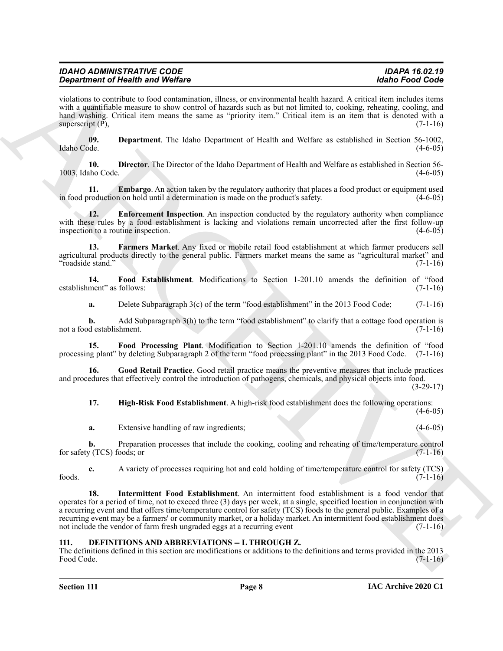| <b>IDAHO ADMINISTRATIVE CODE</b>        | <b>IDAPA 16.02.19</b> |
|-----------------------------------------|-----------------------|
| <b>Department of Health and Welfare</b> | Idaho Food Code       |

violations to contribute to food contamination, illness, or environmental health hazard. A critical item includes items with a quantifiable measure to show control of hazards such as but not limited to, cooking, reheating, cooling, and hand washing. Critical item means the same as "priority item." Critical item is an item that is denoted with a superscript  $(\overline{P})$ , (7-1-16)

<span id="page-7-1"></span>**09. Department**. The Idaho Department of Health and Welfare as established in Section 56-1002, Idaho Code. (4-6-05)

<span id="page-7-2"></span>**10. Director**. The Director of the Idaho Department of Health and Welfare as established in Section 56- 1003, Idaho Code. (4-6-05)

<span id="page-7-3"></span>**11. Embargo**. An action taken by the regulatory authority that places a food product or equipment used roduction on hold until a determination is made on the product's safety. in food production on hold until a determination is made on the product's safety.

<span id="page-7-4"></span>**12. Enforcement Inspection**. An inspection conducted by the regulatory authority when compliance with these rules by a food establishment is lacking and violations remain uncorrected after the first follow-up inspection to a routine inspection. (4-6-05) inspection to a routine inspection.

<span id="page-7-5"></span>**13. Farmers Market**. Any fixed or mobile retail food establishment at which farmer producers sell agricultural products directly to the general public. Farmers market means the same as "agricultural market" and "roadside stand." (7-1-16)

**14. Food Establishment**. Modifications to Section 1-201.10 amends the definition of "food establishment" as follows: (7-1-16)

<span id="page-7-7"></span><span id="page-7-6"></span>**a.** Delete Subparagraph 3(c) of the term "food establishment" in the 2013 Food Code; (7-1-16)

**b.** Add Subparagraph 3(h) to the term "food establishment" to clarify that a cottage food operation is not a food establishment. (7-1-16)

**15. Food Processing Plant**. Modification to Section 1-201.10 amends the definition of "food processing plant" by deleting Subparagraph 2 of the term "food processing plant" in the 2013 Food Code. (7-1-16)

**16. Good Retail Practice**. Good retail practice means the preventive measures that include practices and procedures that effectively control the introduction of pathogens, chemicals, and physical objects into food. (3-29-17)

<span id="page-7-9"></span><span id="page-7-8"></span>**17. High-Risk Food Establishment**. A high-risk food establishment does the following operations:

**a.** Extensive handling of raw ingredients; (4-6-05)

**b.** Preparation processes that include the cooking, cooling and reheating of time/temperature control  $y$  (TCS) foods; or (7-1-16) for safety  $(TCS)$  foods; or

<span id="page-7-10"></span>**c.** A variety of processes requiring hot and cold holding of time/temperature control for safety (TCS)  $600$  foods.  $(7-1-16)$ 

**Experiment of Health Saving-Specifics** is the continued by the two states of the Ford Cost<br>
and continued the continued by the continued by the continued by the continued by the continued by the continued by the continue **18. Intermittent Food Establishment**. An intermittent food establishment is a food vendor that operates for a period of time, not to exceed three (3) days per week, at a single, specified location in conjunction with a recurring event and that offers time/temperature control for safety (TCS) foods to the general public. Examples of a recurring event may be a farmers' or community market, or a holiday market. An intermittent food establishment does not include the vendor of farm fresh ungraded eggs at a recurring event (7-1-16)

#### <span id="page-7-11"></span><span id="page-7-0"></span>**111. DEFINITIONS AND ABBREVIATIONS -- L THROUGH Z.**

The definitions defined in this section are modifications or additions to the definitions and terms provided in the 2013 Food Code. (7-1-16)

 $(4-6-05)$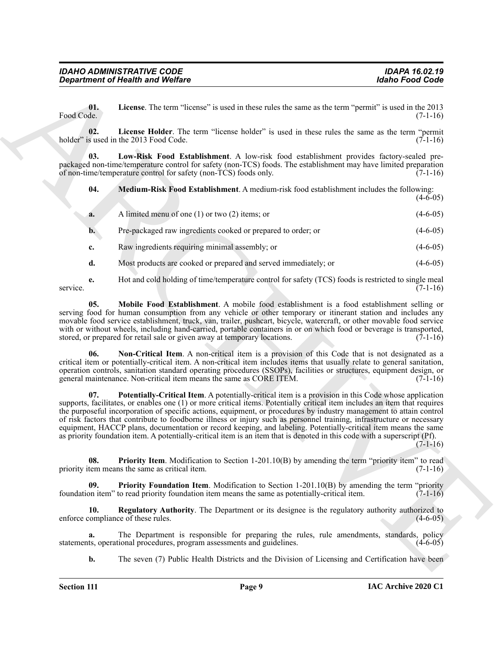<span id="page-8-9"></span>**01. License**. The term "license" is used in these rules the same as the term "permit" is used in the 2013 Food Code. (7-1-16)

<span id="page-8-0"></span>**02. License Holder**. The term "license holder" is used in these rules the same as the term "permit holder" is used in the 2013 Food Code. (7-1-16)

**03. Low-Risk Food Establishment**. A low-risk food establishment provides factory-sealed prepackaged non-time/temperature control for safety (non-TCS) foods. The establishment may have limited preparation of non-time/temperature control for safety (non-TCS) foods only. (7-1-16)

<span id="page-8-2"></span><span id="page-8-1"></span>**04. Medium-Risk Food Establishment**. A medium-risk food establishment includes the following:  $(4-6-05)$ 

- **a.** A limited menu of one (1) or two (2) items; or (4-6-05) **b.** Pre-packaged raw ingredients cooked or prepared to order; or (4-6-05) **c.** Raw ingredients requiring minimal assembly; or (4-6-05)
- <span id="page-8-3"></span>**d.** Most products are cooked or prepared and served immediately; or (4-6-05)

**e.** Hot and cold holding of time/temperature control for safety (TCS) foods is restricted to single meal service.  $(7-1-16)$ 

**05. Mobile Food Establishment**. A mobile food establishment is a food establishment selling or serving food for human consumption from any vehicle or other temporary or itinerant station and includes any movable food service establishment, truck, van, trailer, pushcart, bicycle, watercraft, or other movable food service with or without wheels, including hand-carried, portable containers in or on which food or beverage is transported, stored, or prepared for retail sale or given away at temporary locations. (7-1-16)

<span id="page-8-5"></span><span id="page-8-4"></span>**06. Non-Critical Item**. A non-critical item is a provision of this Code that is not designated as a critical item or potentially-critical item. A non-critical item includes items that usually relate to general sanitation, operation controls, sanitation standard operating procedures (SSOPs), facilities or structures, equipment design, or general maintenance. Non-critical item means the same as CORE ITEM. (7-1-16)

*Great free of Health wast Welfare*<br>
Using Free Christine Ticense" is over it and the term the searce as the term "perma" is used in  $Q_1$  and  $Q_2$ <br>
Free Christian Extense Theoretical control is a searce in the term "p **07. Potentially-Critical Item**. A potentially-critical item is a provision in this Code whose application supports, facilitates, or enables one (1) or more critical items. Potentially critical item includes an item that requires the purposeful incorporation of specific actions, equipment, or procedures by industry management to attain control of risk factors that contribute to foodborne illness or injury such as personnel training, infrastructure or necessary equipment, HACCP plans, documentation or record keeping, and labeling. Potentially-critical item means the same as priority foundation item. A potentially-critical item is an item that is denoted in this code with a superscript (Pf).  $(7-1-16)$ 

<span id="page-8-7"></span>**08.** Priority Item. Modification to Section 1-201.10(B) by amending the term "priority item" to read tem means the same as critical item. (7-1-16) priority item means the same as critical item.

<span id="page-8-6"></span>**Priority Foundation Item**. Modification to Section 1-201.10(B) by amending the term "priority to read priority foundation item means the same as potentially-critical item. (7-1-16) foundation item" to read priority foundation item means the same as potentially-critical item.

<span id="page-8-8"></span>**10. Regulatory Authority**. The Department or its designee is the regulatory authority authorized to enforce compliance of these rules. (4-6-05)

**a.** The Department is responsible for preparing the rules, rule amendments, standards, policy tts, operational procedures, program assessments and guidelines. (4-6-05) statements, operational procedures, program assessments and guidelines.

**b.** The seven (7) Public Health Districts and the Division of Licensing and Certification have been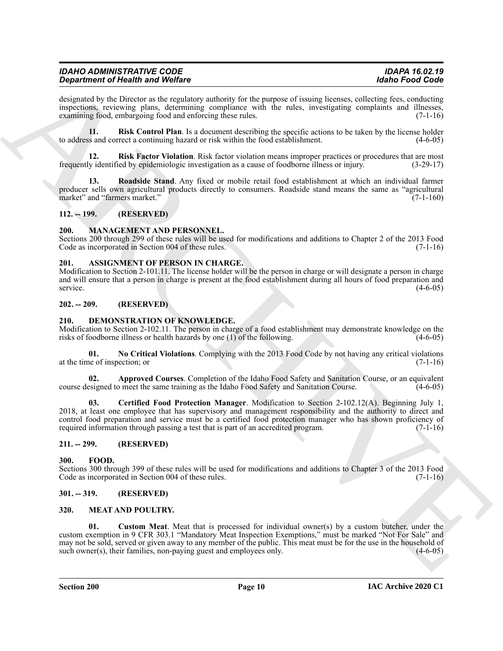#### *IDAHO ADMINISTRATIVE CODE IDAPA 16.02.19 Department of Health and Welfare*

designated by the Director as the regulatory authority for the purpose of issuing licenses, collecting fees, conducting inspections, reviewing plans, determining compliance with the rules, investigating complaints and illnesses, examining food, embargoing food and enforcing these rules. (7-1-16)

<span id="page-9-11"></span>**11. Risk Control Plan**. Is a document describing the specific actions to be taken by the license holder to address and correct a continuing hazard or risk within the food establishment. (4-6-05)

<span id="page-9-12"></span>**12. Risk Factor Violation**. Risk factor violation means improper practices or procedures that are most frequently identified by epidemiologic investigation as a cause of foodborne illness or injury. (3-29-17)

<span id="page-9-10"></span>**13. Roadside Stand**. Any fixed or mobile retail food establishment at which an individual farmer producer sells own agricultural products directly to consumers. Roadside stand means the same as "agricultural market" and "farmers market."

#### <span id="page-9-0"></span>**112. -- 199. (RESERVED)**

#### <span id="page-9-1"></span>**200. MANAGEMENT AND PERSONNEL.**

Sections 200 through 299 of these rules will be used for modifications and additions to Chapter 2 of the 2013 Food Code as incorporated in Section 004 of these rules. (7-1-16)

#### <span id="page-9-9"></span><span id="page-9-2"></span>**201. ASSIGNMENT OF PERSON IN CHARGE.**

Modification to Section 2-101.11. The license holder will be the person in charge or will designate a person in charge and will ensure that a person in charge is present at the food establishment during all hours of food preparation and service. (4-6-05)

#### <span id="page-9-3"></span>**202. -- 209. (RESERVED)**

#### <span id="page-9-13"></span><span id="page-9-4"></span>**210. DEMONSTRATION OF KNOWLEDGE.**

Modification to Section 2-102.11. The person in charge of a food establishment may demonstrate knowledge on the risks of foodborne illness or health hazards by one (1) of the following. (4-6-05)

<span id="page-9-16"></span>**01. No Critical Violations**. Complying with the 2013 Food Code by not having any critical violations at the time of inspection; or (7-1-16)

<span id="page-9-14"></span>**02. Approved Courses**. Completion of the Idaho Food Safety and Sanitation Course, or an equivalent course designed to meet the same training as the Idaho Food Safety and Sanitation Course. (4-6-05)

<span id="page-9-15"></span>**03. Certified Food Protection Manager**. Modification to Section 2-102.12(A). Beginning July 1, 2018, at least one employee that has supervisory and management responsibility and the authority to direct and control food preparation and service must be a certified food protection manager who has shown proficiency of required information through passing a test that is part of an accredited program. (7-1-16)

#### <span id="page-9-5"></span>**211. -- 299. (RESERVED)**

#### <span id="page-9-17"></span><span id="page-9-6"></span>**300. FOOD.**

Sections 300 through 399 of these rules will be used for modifications and additions to Chapter 3 of the 2013 Food Code as incorporated in Section 004 of these rules. (7-1-16) Code as incorporated in Section 004 of these rules.

#### <span id="page-9-7"></span>**301. -- 319. (RESERVED)**

#### <span id="page-9-19"></span><span id="page-9-18"></span><span id="page-9-8"></span>**320. MEAT AND POULTRY.**

**Signalment** of Newfort Solutions Weddle<br>
Assumed by the Direction of Newfort Solution with the the propose of some times as obstrain is a purished<br>
model in the Blueton phase of the Solution of the Solution of the Soluti **01. Custom Meat**. Meat that is processed for individual owner(s) by a custom butcher, under the custom exemption in 9 CFR 303.1 "Mandatory Meat Inspection Exemptions," must be marked "Not For Sale" and may not be sold, served or given away to any member of the public. This meat must be for the use in the household of such owner(s), their families, non-paying guest and employees only. (4-6-05)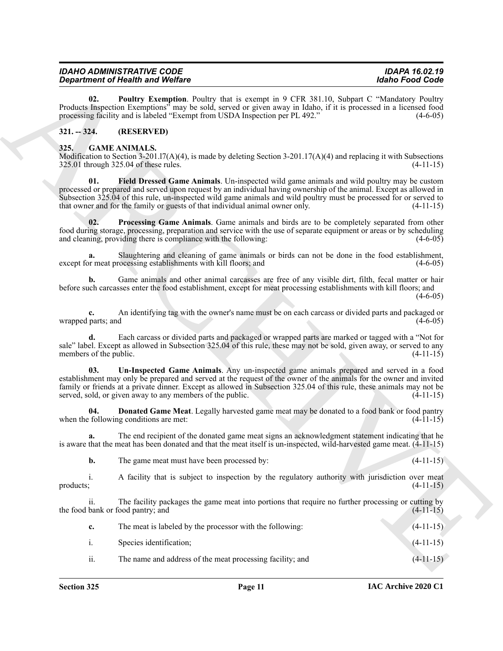<span id="page-10-7"></span>

| <b>IDAHO ADMINISTRATIVE CODE</b>        | <b>IDAPA 16.02.19</b> |
|-----------------------------------------|-----------------------|
| <b>Department of Health and Welfare</b> | Idaho Food Code       |

## <span id="page-10-0"></span>**321. -- 324. (RESERVED)**

#### <span id="page-10-6"></span><span id="page-10-5"></span><span id="page-10-4"></span><span id="page-10-3"></span><span id="page-10-2"></span><span id="page-10-1"></span>**325. GAME ANIMALS.**

|                          | <b>Department of Health and Welfare</b>                                                                                                                                                                                                                                                                                                                                                                                 | <b>Idaho Food Code</b> |  |
|--------------------------|-------------------------------------------------------------------------------------------------------------------------------------------------------------------------------------------------------------------------------------------------------------------------------------------------------------------------------------------------------------------------------------------------------------------------|------------------------|--|
| 02.                      | Poultry Exemption. Poultry that is exempt in 9 CFR 381.10, Subpart C "Mandatory Poultry<br>Products Inspection Exemptions" may be sold, served or given away in Idaho, if it is processed in a licensed food<br>processing facility and is labeled "Exempt from USDA Inspection per PL 492."                                                                                                                            | $(4-6-05)$             |  |
| $321. - 324.$            | (RESERVED)                                                                                                                                                                                                                                                                                                                                                                                                              |                        |  |
| 325.                     | <b>GAME ANIMALS.</b><br>Modification to Section $3-201.17(A)(4)$ , is made by deleting Section $3-201.17(A)(4)$ and replacing it with Subsections<br>325.01 through 325.04 of these rules.                                                                                                                                                                                                                              | $(4-11-15)$            |  |
| 01.                      | Field Dressed Game Animals. Un-inspected wild game animals and wild poultry may be custom<br>processed or prepared and served upon request by an individual having ownership of the animal. Except as allowed in<br>Subsection 325.04 of this rule, un-inspected wild game animals and wild poultry must be processed for or served to<br>that owner and for the family or guests of that individual animal owner only. | $(4-11-15)$            |  |
| 02.                      | Processing Game Animals. Game animals and birds are to be completely separated from other<br>food during storage, processing, preparation and service with the use of separate equipment or areas or by scheduling<br>and cleaning, providing there is compliance with the following:                                                                                                                                   | $(4-6-05)$             |  |
| a.                       | Slaughtering and cleaning of game animals or birds can not be done in the food establishment,<br>except for meat processing establishments with kill floors; and                                                                                                                                                                                                                                                        | $(4-6-05)$             |  |
| b.                       | Game animals and other animal carcasses are free of any visible dirt, filth, fecal matter or hair<br>before such carcasses enter the food establishment, except for meat processing establishments with kill floors; and                                                                                                                                                                                                | $(4-6-05)$             |  |
| c.<br>wrapped parts; and | An identifying tag with the owner's name must be on each carcass or divided parts and packaged or                                                                                                                                                                                                                                                                                                                       | $(4-6-05)$             |  |
| members of the public.   | Each carcass or divided parts and packaged or wrapped parts are marked or tagged with a "Not for<br>sale" label. Except as allowed in Subsection 325.04 of this rule, these may not be sold, given away, or served to any                                                                                                                                                                                               | $(4-11-15)$            |  |
| 03.                      | Un-Inspected Game Animals. Any un-inspected game animals prepared and served in a food<br>establishment may only be prepared and served at the request of the owner of the animals for the owner and invited<br>family or friends at a private dinner. Except as allowed in Subsection 325.04 of this rule, these animals may not be<br>served, sold, or given away to any members of the public.                       | $(4-11-15)$            |  |
| 04.                      | <b>Donated Game Meat.</b> Legally harvested game meat may be donated to a food bank or food pantry<br>when the following conditions are met:                                                                                                                                                                                                                                                                            | $(4-11-15)$            |  |
| a.                       | The end recipient of the donated game meat signs an acknowledgment statement indicating that he<br>is aware that the meat has been donated and that the meat itself is un-inspected, wild-harvested game meat. $(4-11-15)$                                                                                                                                                                                              |                        |  |
| b.                       | The game meat must have been processed by:                                                                                                                                                                                                                                                                                                                                                                              | $(4-11-15)$            |  |
| i.<br>products;          | A facility that is subject to inspection by the regulatory authority with jurisdiction over meat                                                                                                                                                                                                                                                                                                                        | $(4-11-15)$            |  |
| ii.                      | The facility packages the game meat into portions that require no further processing or cutting by<br>the food bank or food pantry; and                                                                                                                                                                                                                                                                                 | $(4-11-15)$            |  |
| c.                       | The meat is labeled by the processor with the following:                                                                                                                                                                                                                                                                                                                                                                | $(4-11-15)$            |  |
| i.                       | Species identification;                                                                                                                                                                                                                                                                                                                                                                                                 | $(4-11-15)$            |  |
| ii.                      | The name and address of the meat processing facility; and                                                                                                                                                                                                                                                                                                                                                               | $(4-11-15)$            |  |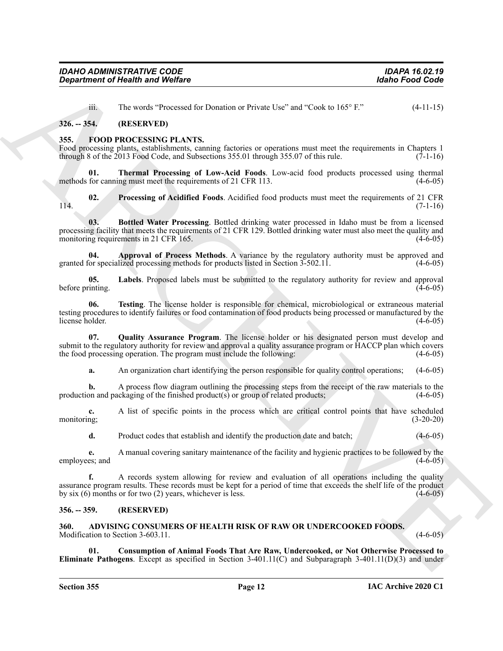| <b>IDAHO ADMINISTRATIVE CODE</b>        | <b>IDAPA 16.02.19</b> |
|-----------------------------------------|-----------------------|
| <b>Department of Health and Welfare</b> | Idaho Food Code       |

<span id="page-11-6"></span>iii. The words "Processed for Donation or Private Use" and "Cook to 165° F." (4-11-15)

#### <span id="page-11-0"></span>**326. -- 354. (RESERVED)**

#### <span id="page-11-1"></span>**355. FOOD PROCESSING PLANTS.**

Food processing plants, establishments, canning factories or operations must meet the requirements in Chapters 1 through 8 of the 2013 Food Code, and Subsections 355.01 through 355.07 of this rule.  $(7-1-16)$ 

<span id="page-11-13"></span>**01. Thermal Processing of Low-Acid Foods**. Low-acid food products processed using thermal methods for canning must meet the requirements of 21 CFR 113. (4-6-05)

<span id="page-11-10"></span>**02. Processing of Acidified Foods**. Acidified food products must meet the requirements of 21 CFR  $114.$  (7-1-16)

<span id="page-11-8"></span>**03. Bottled Water Processing**. Bottled drinking water processed in Idaho must be from a licensed processing facility that meets the requirements of 21 CFR 129. Bottled drinking water must also meet the quality and monitoring requirements in 21 CFR 165. (4-6-05)

<span id="page-11-7"></span>**04. Approval of Process Methods**. A variance by the regulatory authority must be approved and granted for specialized processing methods for products listed in Section 3-502.11. (4-6-05)

<span id="page-11-9"></span>**05. Labels**. Proposed labels must be submitted to the regulatory authority for review and approval before printing. (4-6-05)

<span id="page-11-12"></span>**06. Testing**. The license holder is responsible for chemical, microbiological or extraneous material testing procedures to identify failures or food contamination of food products being processed or manufactured by the license holder. (4-6-05)

**07. Quality Assurance Program**. The license holder or his designated person must develop and submit to the regulatory authority for review and approval a quality assurance program or HACCP plan which covers the food processing operation. The program must include the following: (4-6-05)

<span id="page-11-11"></span>**a.** An organization chart identifying the person responsible for quality control operations; (4-6-05)

**b.** A process flow diagram outlining the processing steps from the receipt of the raw materials to the production and packaging of the finished product(s) or group of related products;  $(4-6-05)$ 

**c.** A list of specific points in the process which are critical control points that have scheduled monitoring; (3-20-20) monitoring; (3-20-20)

**d.** Product codes that establish and identify the production date and batch; (4-6-05)

**e.** A manual covering sanitary maintenance of the facility and hygienic practices to be followed by the employees; and (4-6-05)

Gegardment of Nearly hand Wolfare<br>
in the word Constant of Teva Law and "Crease Law Tank Crease" (4-11-15)<br>
326. - SSL. (RESULT) 1209.<br>
336. - SSL. (RESULT) 1209. (RESULT) 1209. (RESULT) 1209. (RESULT) 1209. (RESULT) 1209 **f.** A records system allowing for review and evaluation of all operations including the quality assurance program results. These records must be kept for a period of time that exceeds the shelf life of the product by six  $(6)$  months or for two  $(2)$  years, whichever is less.  $(4-6-05)$ 

#### <span id="page-11-2"></span>**356. -- 359. (RESERVED)**

<span id="page-11-4"></span><span id="page-11-3"></span>**360. ADVISING CONSUMERS OF HEALTH RISK OF RAW OR UNDERCOOKED FOODS.** Modification to Section 3-603.11. (4-6-05) (4-6-05)

<span id="page-11-5"></span>**01. Consumption of Animal Foods That Are Raw, Undercooked, or Not Otherwise Processed to Eliminate Pathogens**. Except as specified in Section 3-401.11(C) and Subparagraph 3-401.11(D)(3) and under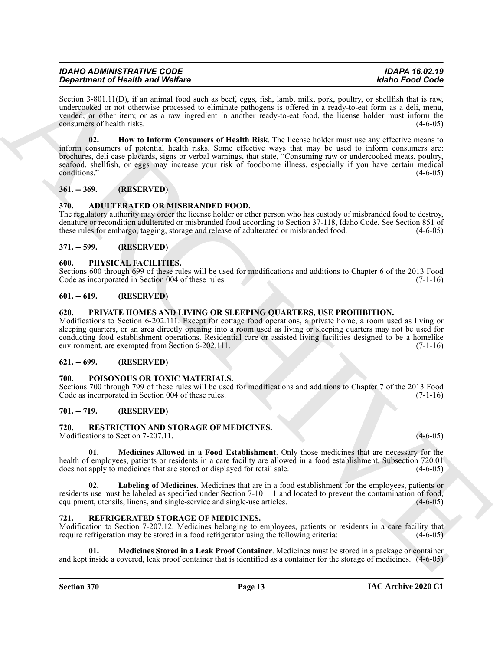| <b>IDAHO ADMINISTRATIVE CODE</b>        | <b>IDAPA 16.02.19</b> |
|-----------------------------------------|-----------------------|
| <b>Department of Health and Welfare</b> | Idaho Food Code       |

<span id="page-12-12"></span>Section 3-801.11(D), if an animal food such as beef, eggs, fish, lamb, milk, pork, poultry, or shellfish that is raw, undercooked or not otherwise processed to eliminate pathogens is offered in a ready-to-eat form as a deli, menu, vended, or other item; or as a raw ingredient in another ready-to-eat food, the license holder must inform the consumers of health risks. (4-6-05)

**Equivalent of Newton Worlds Control in the control of Newtonia and Section 1980.** The control of Newton Control of Newtonia and Section 2011 in the control of Newtonia and Section 2012 in the control of Newtonia and Sect **02. How to Inform Consumers of Health Risk**. The license holder must use any effective means to inform consumers of potential health risks. Some effective ways that may be used to inform consumers are: brochures, deli case placards, signs or verbal warnings, that state, "Consuming raw or undercooked meats, poultry, seafood, shellfish, or eggs may increase your risk of foodborne illness, especially if you have certain medical conditions." (4-6-05)

## <span id="page-12-0"></span>**361. -- 369. (RESERVED)**

## <span id="page-12-11"></span><span id="page-12-1"></span>**370. ADULTERATED OR MISBRANDED FOOD.**

The regulatory authority may order the license holder or other person who has custody of misbranded food to destroy, denature or recondition adulterated or misbranded food according to Section 37-118, Idaho Code. See Section 851 of these rules for embargo, tagging, storage and release of adulterated or misbranded food. (4-6-05) these rules for embargo, tagging, storage and release of adulterated or misbranded food.

## <span id="page-12-2"></span>**371. -- 599. (RESERVED)**

## <span id="page-12-13"></span><span id="page-12-3"></span>**600. PHYSICAL FACILITIES.**

Sections 600 through 699 of these rules will be used for modifications and additions to Chapter 6 of the 2013 Food Code as incorporated in Section 004 of these rules. (7-1-16) Code as incorporated in Section 004 of these rules.

## <span id="page-12-4"></span>**601. -- 619. (RESERVED)**

## <span id="page-12-15"></span><span id="page-12-5"></span>**620. PRIVATE HOMES AND LIVING OR SLEEPING QUARTERS, USE PROHIBITION.**

Modifications to Section 6-202.111. Except for cottage food operations, a private home, a room used as living or sleeping quarters, or an area directly opening into a room used as living or sleeping quarters may not be used for conducting food establishment operations. Residential care or assisted living facilities designed to be a homelike environment, are exempted from Section 6-202.111. (7-1-16)

## <span id="page-12-6"></span>**621. -- 699. (RESERVED)**

## <span id="page-12-14"></span><span id="page-12-7"></span>**700. POISONOUS OR TOXIC MATERIALS.**

Sections 700 through 799 of these rules will be used for modifications and additions to Chapter 7 of the 2013 Food Code as incorporated in Section 004 of these rules. (7-1-16) Code as incorporated in Section 004 of these rules.

## <span id="page-12-8"></span>**701. -- 719. (RESERVED)**

## <span id="page-12-18"></span><span id="page-12-9"></span>**720. RESTRICTION AND STORAGE OF MEDICINES.**

Modifications to Section 7-207.11. (4-6-05) (4-6-05)

<span id="page-12-20"></span>**01. Medicines Allowed in a Food Establishment**. Only those medicines that are necessary for the health of employees, patients or residents in a care facility are allowed in a food establishment. Subsection 720.01 does not apply to medicines that are stored or displayed for retail sale. (4-6-05) does not apply to medicines that are stored or displayed for retail sale.

<span id="page-12-19"></span>**02. Labeling of Medicines**. Medicines that are in a food establishment for the employees, patients or residents use must be labeled as specified under Section 7-101.11 and located to prevent the contamination of food, equipment, utensils, linens, and single-service and single-use articles. equipment, utensils, linens, and single-service and single-use articles.

## <span id="page-12-16"></span><span id="page-12-10"></span>**721. REFRIGERATED STORAGE OF MEDICINES.**

Modification to Section 7-207.12. Medicines belonging to employees, patients or residents in a care facility that require refrigeration may be stored in a food refrigerator using the following criteria: (4-6-05)

<span id="page-12-17"></span>**01. Medicines Stored in a Leak Proof Container**. Medicines must be stored in a package or container and kept inside a covered, leak proof container that is identified as a container for the storage of medicines. (4-6-05)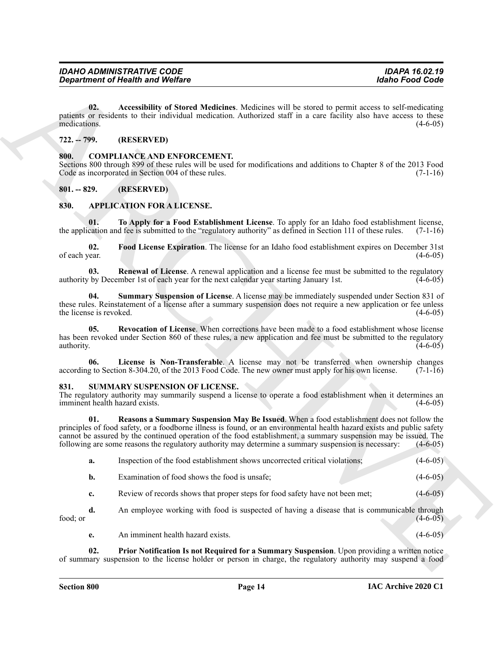#### <span id="page-13-13"></span><span id="page-13-0"></span>**722. -- 799. (RESERVED)**

#### <span id="page-13-12"></span><span id="page-13-1"></span>**800. COMPLIANCE AND ENFORCEMENT.**

#### <span id="page-13-2"></span>**801. -- 829. (RESERVED)**

## <span id="page-13-11"></span><span id="page-13-10"></span><span id="page-13-8"></span><span id="page-13-6"></span><span id="page-13-5"></span><span id="page-13-3"></span>**830. APPLICATION FOR A LICENSE.**

#### <span id="page-13-16"></span><span id="page-13-15"></span><span id="page-13-14"></span><span id="page-13-9"></span><span id="page-13-7"></span><span id="page-13-4"></span>**831. SUMMARY SUSPENSION OF LICENSE.**

|                                        | <b>Department of Health and Welfare</b>                                                                                                                                                                                                                                                                                                                                                                                                        | <b>Idaho Food Code</b> |
|----------------------------------------|------------------------------------------------------------------------------------------------------------------------------------------------------------------------------------------------------------------------------------------------------------------------------------------------------------------------------------------------------------------------------------------------------------------------------------------------|------------------------|
| 02.<br>medications.                    | Accessibility of Stored Medicines. Medicines will be stored to permit access to self-medicating<br>patients or residents to their individual medication. Authorized staff in a care facility also have access to these                                                                                                                                                                                                                         | $(4-6-05)$             |
| $722. - 799.$                          | (RESERVED)                                                                                                                                                                                                                                                                                                                                                                                                                                     |                        |
| 800.                                   | <b>COMPLIANCE AND ENFORCEMENT.</b><br>Sections 800 through 899 of these rules will be used for modifications and additions to Chapter 8 of the 2013 Food<br>Code as incorporated in Section 004 of these rules.                                                                                                                                                                                                                                | $(7-1-16)$             |
| $801. - 829.$                          | (RESERVED)                                                                                                                                                                                                                                                                                                                                                                                                                                     |                        |
| 830.                                   | <b>APPLICATION FOR A LICENSE.</b>                                                                                                                                                                                                                                                                                                                                                                                                              |                        |
| 01.                                    | To Apply for a Food Establishment License. To apply for an Idaho food establishment license,<br>the application and fee is submitted to the "regulatory authority" as defined in Section 111 of these rules.                                                                                                                                                                                                                                   | $(7-1-16)$             |
| 02.<br>of each year.                   | Food License Expiration. The license for an Idaho food establishment expires on December 31st                                                                                                                                                                                                                                                                                                                                                  | $(4-6-05)$             |
| 03.                                    | Renewal of License. A renewal application and a license fee must be submitted to the regulatory<br>authority by December 1st of each year for the next calendar year starting January 1st.                                                                                                                                                                                                                                                     | $(4-6-05)$             |
| 04.<br>the license is revoked.         | <b>Summary Suspension of License.</b> A license may be immediately suspended under Section 831 of<br>these rules. Reinstatement of a license after a summary suspension does not require a new application or fee unless                                                                                                                                                                                                                       | $(4-6-05)$             |
| 05.<br>authority.                      | Revocation of License. When corrections have been made to a food establishment whose license<br>has been revoked under Section 860 of these rules, a new application and fee must be submitted to the regulatory                                                                                                                                                                                                                               | $(4-6-05)$             |
| 06.                                    | License is Non-Transferable. A license may not be transferred when ownership changes<br>according to Section 8-304.20, of the 2013 Food Code. The new owner must apply for his own license.                                                                                                                                                                                                                                                    | $(7-1-16)$             |
| 831.<br>imminent health hazard exists. | SUMMARY SUSPENSION OF LICENSE.<br>The regulatory authority may summarily suspend a license to operate a food establishment when it determines an                                                                                                                                                                                                                                                                                               | $(4-6-05)$             |
| 01.                                    | Reasons a Summary Suspension May Be Issued. When a food establishment does not follow the<br>principles of food safety, or a foodborne illness is found, or an environmental health hazard exists and public safety<br>cannot be assured by the continued operation of the food establishment, a summary suspension may be issued. The<br>following are some reasons the regulatory authority may determine a summary suspension is necessary: | $(4-6-05)$             |
| a.                                     | Inspection of the food establishment shows uncorrected critical violations;                                                                                                                                                                                                                                                                                                                                                                    | $(4-6-05)$             |
| b.                                     | Examination of food shows the food is unsafe;                                                                                                                                                                                                                                                                                                                                                                                                  | $(4-6-05)$             |
| c.                                     | Review of records shows that proper steps for food safety have not been met;                                                                                                                                                                                                                                                                                                                                                                   | $(4-6-05)$             |
| d.<br>food; or                         | An employee working with food is suspected of having a disease that is communicable through                                                                                                                                                                                                                                                                                                                                                    | $(4-6-05)$             |
|                                        | An imminent health hazard exists.                                                                                                                                                                                                                                                                                                                                                                                                              | $(4-6-05)$             |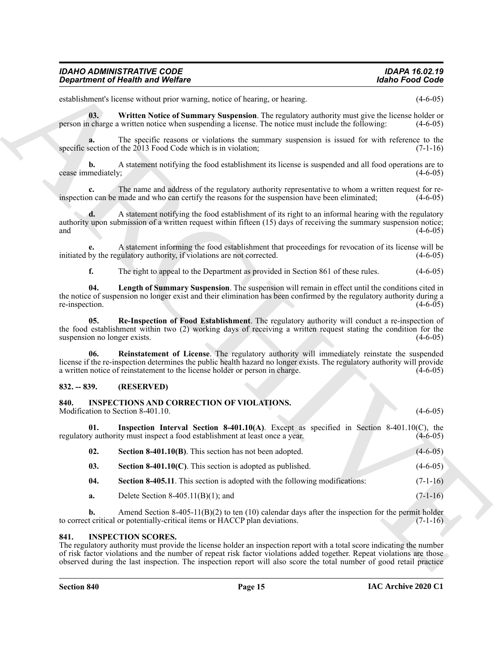<span id="page-14-12"></span>

| <b>IDAHO ADMINISTRATIVE CODE</b> | <b>IDAPA 16.02.19</b> |
|----------------------------------|-----------------------|
| Department of Health and Welfare | Idaho Food Code       |

#### <span id="page-14-11"></span><span id="page-14-10"></span><span id="page-14-9"></span><span id="page-14-0"></span>**832. -- 839. (RESERVED)**

# <span id="page-14-7"></span><span id="page-14-6"></span><span id="page-14-5"></span><span id="page-14-4"></span><span id="page-14-1"></span>**840. INSPECTIONS AND CORRECTION OF VIOLATIONS.**

| establishment's license without prior warning, notice of hearing, or hearing.                                                                                                                                                                                                                                  | $(4-6-05)$     |
|----------------------------------------------------------------------------------------------------------------------------------------------------------------------------------------------------------------------------------------------------------------------------------------------------------------|----------------|
| 03.<br>Written Notice of Summary Suspension. The regulatory authority must give the license holder or<br>person in charge a written notice when suspending a license. The notice must include the following:                                                                                                   | $(4-6-05)$     |
| The specific reasons or violations the summary suspension is issued for with reference to the<br>a.<br>specific section of the 2013 Food Code which is in violation;                                                                                                                                           | $(7-1-16)$     |
| A statement notifying the food establishment its license is suspended and all food operations are to<br>b.<br>cease immediately;                                                                                                                                                                               | $(4-6-05)$     |
| The name and address of the regulatory authority representative to whom a written request for re-<br>c.<br>inspection can be made and who can certify the reasons for the suspension have been eliminated;                                                                                                     | $(4-6-05)$     |
| A statement notifying the food establishment of its right to an informal hearing with the regulatory<br>d.<br>authority upon submission of a written request within fifteen (15) days of receiving the summary suspension notice;<br>and                                                                       | $(4-6-05)$     |
| A statement informing the food establishment that proceedings for revocation of its license will be<br>initiated by the regulatory authority, if violations are not corrected.                                                                                                                                 | $(4-6-05)$     |
| f.<br>The right to appeal to the Department as provided in Section 861 of these rules.                                                                                                                                                                                                                         | $(4-6-05)$     |
| Length of Summary Suspension. The suspension will remain in effect until the conditions cited in<br>04.<br>the notice of suspension no longer exist and their elimination has been confirmed by the regulatory authority during a<br>re-inspection.                                                            | $(4-6-05)$     |
| Re-Inspection of Food Establishment. The regulatory authority will conduct a re-inspection of<br>05.<br>the food establishment within two (2) working days of receiving a written request stating the condition for the<br>suspension no longer exists.                                                        | $(4-6-05)$     |
| Reinstatement of License. The regulatory authority will immediately reinstate the suspended<br>06.<br>license if the re-inspection determines the public health hazard no longer exists. The regulatory authority will provide<br>a written notice of reinstatement to the license holder or person in charge. | $(4-6-05)$     |
| $832. - 839.$<br>(RESERVED)                                                                                                                                                                                                                                                                                    |                |
| 840.<br><b>INSPECTIONS AND CORRECTION OF VIOLATIONS.</b><br>Modification to Section 8-401.10.                                                                                                                                                                                                                  | $(4-6-05)$     |
| <b>Inspection Interval Section 8-401.10(A)</b> . Except as specified in Section 8-401.10(C), the<br>01.<br>regulatory authority must inspect a food establishment at least once a year.                                                                                                                        | $(4-6-05)$     |
| 02.<br>Section 8-401.10(B). This section has not been adopted.                                                                                                                                                                                                                                                 | $(4 - 6 - 05)$ |
| 03.<br><b>Section 8-401.10(C)</b> . This section is adopted as published.                                                                                                                                                                                                                                      | $(4-6-05)$     |
| 04.<br><b>Section 8-405.11.</b> This section is adopted with the following modifications:                                                                                                                                                                                                                      | $(7-1-16)$     |
| Delete Section $8-405.11(B)(1)$ ; and<br>a.                                                                                                                                                                                                                                                                    | $(7-1-16)$     |
| $\mathbf{b}$ .<br>Amend Section 8-405-11(B)(2) to ten (10) calendar days after the inspection for the permit holder<br>to correct critical or potentially-critical items or HACCP plan deviations.                                                                                                             | $(7-1-16)$     |
| <b>INSPECTION SCORES.</b><br>841.<br>The regulatory authority must provide the license holder an inspection report with a total score indicating the number<br>of risk factor violations and the number of repeat risk factor violations added together. Repeat violations are those                           |                |

#### <span id="page-14-8"></span><span id="page-14-3"></span><span id="page-14-2"></span>**841. INSPECTION SCORES.**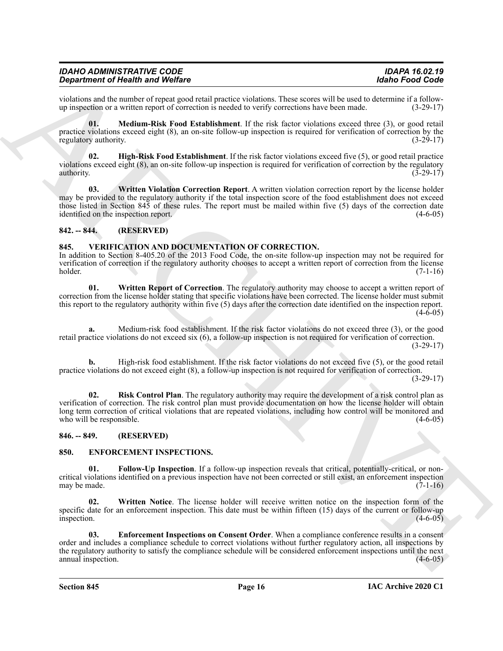| <b>IDAHO ADMINISTRATIVE CODE</b>        | <b>IDAPA 16.02.19</b> |
|-----------------------------------------|-----------------------|
| <b>Department of Health and Welfare</b> | Idaho Food Code       |

violations and the number of repeat good retail practice violations. These scores will be used to determine if a follow-<br>up inspection or a written report of correction is needed to verify corrections have been made. (3-29 up inspection or a written report of correction is needed to verify corrections have been made.

<span id="page-15-9"></span>**01. Medium-Risk Food Establishment**. If the risk factor violations exceed three (3), or good retail practice violations exceed eight (8), an on-site follow-up inspection is required for verification of correction by the regulatory authority.  $(3-29-17)$ 

<span id="page-15-8"></span>**02. High-Risk Food Establishment**. If the risk factor violations exceed five (5), or good retail practice violations exceed eight (8), an on-site follow-up inspection is required for verification of correction by the regulatory authority.  $(3-29-17)$ 

<span id="page-15-10"></span>**03. Written Violation Correction Report**. A written violation correction report by the license holder may be provided to the regulatory authority if the total inspection score of the food establishment does not exceed those listed in Section 845 of these rules. The report must be mailed within five (5) days of the correction date identified on the inspection report. (4-6-05)

## <span id="page-15-0"></span>**842. -- 844. (RESERVED)**

#### <span id="page-15-11"></span><span id="page-15-1"></span>**845. VERIFICATION AND DOCUMENTATION OF CORRECTION.**

In addition to Section 8-405.20 of the 2013 Food Code, the on-site follow-up inspection may not be required for verification of correction if the regulatory authority chooses to accept a written report of correction from the license holder. (7-1-16)

<span id="page-15-13"></span>**01. Written Report of Correction**. The regulatory authority may choose to accept a written report of correction from the license holder stating that specific violations have been corrected. The license holder must submit this report to the regulatory authority within five (5) days after the correction date identified on the inspection report. (4-6-05)

**a.** Medium-risk food establishment. If the risk factor violations do not exceed three (3), or the good retail practice violations do not exceed six (6), a follow-up inspection is not required for verification of correction. (3-29-17)

<span id="page-15-12"></span>**b.** High-risk food establishment. If the risk factor violations do not exceed five (5), or the good retail practice violations do not exceed eight (8), a follow-up inspection is not required for verification of correction. (3-29-17)

**Experiment of Newthern System** Website<br>
spin-principal alternation of Newthern Systems (Section 2018). The spin-principal alternation of Newton 2018<br>
and the method of the spin-principal alternation of the spin-principal **Risk Control Plan**. The regulatory authority may require the development of a risk control plan as verification of correction. The risk control plan must provide documentation on how the license holder will obtain long term correction of critical violations that are repeated violations, including how control will be monitored and who will be responsible. (4-6-05) who will be responsible.

#### <span id="page-15-2"></span>**846. -- 849. (RESERVED)**

## <span id="page-15-4"></span><span id="page-15-3"></span>**850. ENFORCEMENT INSPECTIONS.**

<span id="page-15-6"></span>**01. Follow-Up Inspection**. If a follow-up inspection reveals that critical, potentially-critical, or noncritical violations identified on a previous inspection have not been corrected or still exist, an enforcement inspection may be made.  $(7-1-16)$ 

<span id="page-15-7"></span>**02. Written Notice**. The license holder will receive written notice on the inspection form of the specific date for an enforcement inspection. This date must be within fifteen (15) days of the current or follow-up inspection.  $(4-6-05)$ 

<span id="page-15-5"></span>**03. Enforcement Inspections on Consent Order**. When a compliance conference results in a consent order and includes a compliance schedule to correct violations without further regulatory action, all inspections by the regulatory authority to satisfy the compliance schedule will be considered enforcement inspections until the next annual inspection. (4-6-05)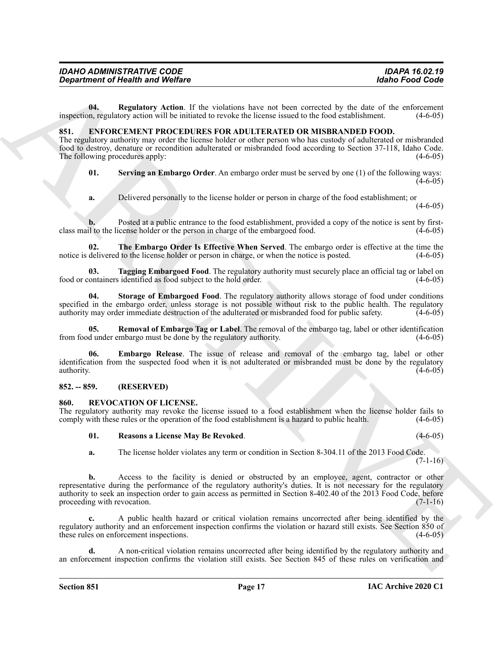|                                                                                              |  | The Embargo Order Is Effective When Served. The embargo order is effective at the time the |
|----------------------------------------------------------------------------------------------|--|--------------------------------------------------------------------------------------------|
| notice is delivered to the license holder or person in charge, or when the notice is posted. |  | $(4-6-05)$                                                                                 |

class mail to the license holder or the person in charge of the embargoed food.

*Department of Health and Welfare* 

**03. Tagging Embargoed Food**. The regulatory authority must securely place an official tag or label on ontainers identified as food subject to the hold order. (4-6-05) food or containers identified as food subject to the hold order.

<span id="page-16-4"></span><span id="page-16-3"></span>**04. Regulatory Action**. If the violations have not been corrected by the date of the enforcement

<span id="page-16-8"></span>**01. Serving an Embargo Order**. An embargo order must be served by one (1) of the following ways:

<span id="page-16-10"></span><span id="page-16-5"></span>**b.** Posted at a public entrance to the food establishment, provided a copy of the notice is sent by first-<br>il to the license holder or the person in charge of the embargoed food. (4-6-05)

inspection, regulatory action will be initiated to revoke the license issued to the food establishment. (4-6-05)

The regulatory authority may order the license holder or other person who has custody of adulterated or misbranded food to destroy, denature or recondition adulterated or misbranded food according to Section 37-118, Idaho Code. The following procedures apply: (4-6-05) (4-6-05)

**a.** Delivered personally to the license holder or person in charge of the food establishment; or

<span id="page-16-0"></span>**851. ENFORCEMENT PROCEDURES FOR ADULTERATED OR MISBRANDED FOOD.**

<span id="page-16-9"></span>**04. Storage of Embargoed Food**. The regulatory authority allows storage of food under conditions specified in the embargo order, unless storage is not possible without risk to the public health. The regulatory authority may order immediate destruction of the adulterated or misbranded food for public safety.  $\left(4-6-05\right)$ 

<span id="page-16-7"></span>**05. Removal of Embargo Tag or Label**. The removal of the embargo tag, label or other identification from food under embargo must be done by the regulatory authority. (4-6-05)

<span id="page-16-6"></span>**06. Embargo Release**. The issue of release and removal of the embargo tag, label or other identification from the suspected food when it is not adulterated or misbranded must be done by the regulatory authority.  $(4-6-05)$ 

#### <span id="page-16-1"></span>**852. -- 859. (RESERVED)**

#### <span id="page-16-11"></span><span id="page-16-2"></span>**860. REVOCATION OF LICENSE.**

The regulatory authority may revoke the license issued to a food establishment when the license holder fails to comply with these rules or the operation of the food establishment is a hazard to public health. (4-6-05) comply with these rules or the operation of the food establishment is a hazard to public health.

#### <span id="page-16-12"></span>**01. Reasons a License May Be Revoked**. (4-6-05)

**a.** The license holder violates any term or condition in Section 8-304.11 of the 2013 Food Code.

*Department of Health wast Wolfars*<br>
Units **Christian** Electric Artistics have and some model to the finding term and the set of the set of the set of the set of the set of the set of the set of the set of the set of th **b.** Access to the facility is denied or obstructed by an employee, agent, contractor or other representative during the performance of the regulatory authority's duties. It is not necessary for the regulatory authority to seek an inspection order to gain access as permitted in Section 8-402.40 of the 2013 Food Code, before proceeding with revocation.

**c.** A public health hazard or critical violation remains uncorrected after being identified by the regulatory authority and an enforcement inspection confirms the violation or hazard still exists. See Section 850 of these rules on enforcement inspections. (4-6-05)

**d.** A non-critical violation remains uncorrected after being identified by the regulatory authority and an enforcement inspection confirms the violation still exists. See Section 845 of these rules on verification and

 $(7-1-16)$ 

 $(4-6-05)$ 

 $(4-6-05)$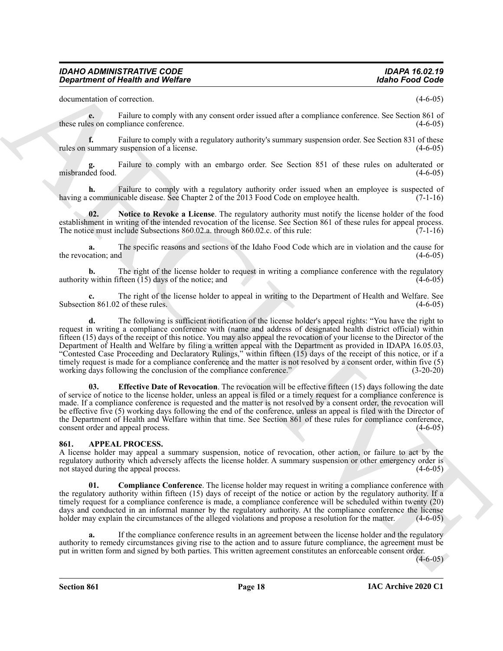documentation of correction. (4-6-05)

**e.** Failure to comply with any consent order issued after a compliance conference. See Section 861 of these rules on compliance conference. (4-6-05)

**f.** Failure to comply with a regulatory authority's summary suspension order. See Section 831 of these summary suspension of a license. (4-6-05) rules on summary suspension of a license.

Failure to comply with an embargo order. See Section 851 of these rules on adulterated or misbranded food. (4-6-05)

**h.** Failure to comply with a regulatory authority order issued when an employee is suspected of communicable disease. See Chapter 2 of the 2013 Food Code on employee health. (7-1-16) having a communicable disease. See Chapter 2 of the 2013 Food Code on employee health.

<span id="page-17-4"></span>**02. Notice to Revoke a License**. The regulatory authority must notify the license holder of the food establishment in writing of the intended revocation of the license. See Section 861 of these rules for appeal process.<br>The notice must include Subsections 860.02.a. through 860.02.c. of this rule: (7-1-16) The notice must include Subsections 860.02.a. through 860.02.c. of this rule:

**a.** The specific reasons and sections of the Idaho Food Code which are in violation and the cause for the revocation; and  $(4-6-05)$ 

**b.** The right of the license holder to request in writing a compliance conference with the regulatory within fifteen (15) days of the notice; and (4-6-05) authority within fifteen  $(15)$  days of the notice; and

The right of the license holder to appeal in writing to the Department of Health and Welfare. See<br>2 of these rules. (4-6-05) Subsection 861.02 of these rules.

**Expansion of Newton And Wolfare 1998**<br> **ARCHIVE CONSULTS (ARCHIVE CONSULTS)**<br> **ARCHIVE CONSULTS (ARCHIVE CONSULTS)**<br> **ARCHIVE CONSULTS (ARCHIVE CONSULTS)**<br> **ARCHIVE CONSULTS)**<br> **ARCHIVE CONSULTS (ARCHIVE CONSULTS)**<br> **ARC d.** The following is sufficient notification of the license holder's appeal rights: "You have the right to request in writing a compliance conference with (name and address of designated health district official) within fifteen (15) days of the receipt of this notice. You may also appeal the revocation of your license to the Director of the Department of Health and Welfare by filing a written appeal with the Department as provided in IDAPA 16.05.03, "Contested Case Proceeding and Declaratory Rulings," within fifteen (15) days of the receipt of this notice, or if a timely request is made for a compliance conference and the matter is not resolved by a consent order, within five (5) working days following the conclusion of the compliance conference." (3-20-20)

<span id="page-17-3"></span>**03. Effective Date of Revocation**. The revocation will be effective fifteen (15) days following the date of service of notice to the license holder, unless an appeal is filed or a timely request for a compliance conference is made. If a compliance conference is requested and the matter is not resolved by a consent order, the revocation will be effective five (5) working days following the end of the conference, unless an appeal is filed with the Director of the Department of Health and Welfare within that time. See Section 861 of these rules for compliance conference, consent order and appeal process. (4-6-05)

## <span id="page-17-1"></span><span id="page-17-0"></span>**861. APPEAL PROCESS.**

A license holder may appeal a summary suspension, notice of revocation, other action, or failure to act by the regulatory authority which adversely affects the license holder. A summary suspension or other emergency order is not stayed during the appeal process. not stayed during the appeal process.

<span id="page-17-2"></span>**Compliance Conference**. The license holder may request in writing a compliance conference with the regulatory authority within fifteen (15) days of receipt of the notice or action by the regulatory authority. If a timely request for a compliance conference is made, a compliance conference will be scheduled within twenty (20) days and conducted in an informal manner by the regulatory authority. At the compliance conference the license holder may explain the circumstances of the alleged violations and propose a resolution for the matter. (4-6-05)

**a.** If the compliance conference results in an agreement between the license holder and the regulatory authority to remedy circumstances giving rise to the action and to assure future compliance, the agreement must be put in written form and signed by both parties. This written agreement constitutes an enforceable consent order.

 $(4-6-05)$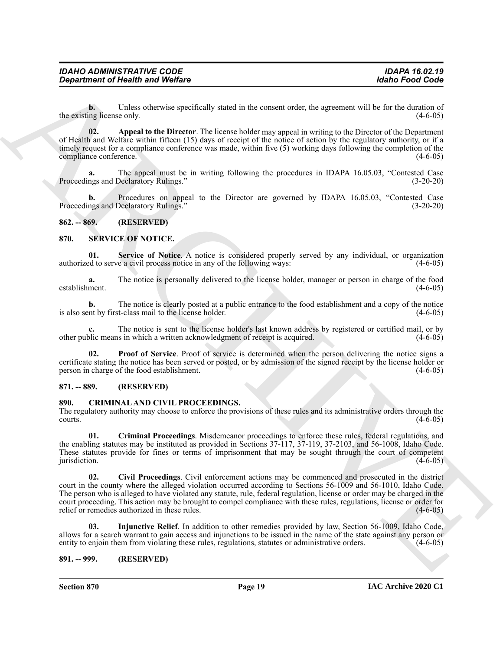**b.** Unless otherwise specifically stated in the consent order, the agreement will be for the duration of the existing license only. (4-6-05) (4-6-05)

<span id="page-18-5"></span>**02. Appeal to the Director**. The license holder may appeal in writing to the Director of the Department of Health and Welfare within fifteen (15) days of receipt of the notice of action by the regulatory authority, or if a timely request for a compliance conference was made, within five (5) working days following the completion of the compliance conference. (4-6-05)

**a.** The appeal must be in writing following the procedures in IDAPA 16.05.03, "Contested Case Proceedings and Declaratory Rulings." The Contract of the Contract of the Contract of the Contract of the Contract of the Contract of the Contract of the Contract of the Contract of the Contract of the Contract of the Cont

**b.** Procedures on appeal to the Director are governed by IDAPA 16.05.03, "Contested Case Proceedings and Declaratory Rulings." (3-20-20)

#### <span id="page-18-0"></span>**862. -- 869. (RESERVED)**

#### <span id="page-18-10"></span><span id="page-18-1"></span>**870. SERVICE OF NOTICE.**

<span id="page-18-12"></span>**01. Service of Notice**. A notice is considered properly served by any individual, or organization authorized to serve a civil process notice in any of the following ways: (4-6-05)

**a.** The notice is personally delivered to the license holder, manager or person in charge of the food establishment. (4-6-05)

**b.** The notice is clearly posted at a public entrance to the food establishment and a copy of the notice is also sent by first-class mail to the license holder. (4-6-05)

**c.** The notice is sent to the license holder's last known address by registered or certified mail, or by other public means in which a written acknowledgment of receipt is acquired. (4-6-05)

<span id="page-18-11"></span>**02. Proof of Service**. Proof of service is determined when the person delivering the notice signs a certificate stating the notice has been served or posted, or by admission of the signed receipt by the license holder or person in charge of the food establishment. (4-6-05)

## <span id="page-18-2"></span>**871. -- 889. (RESERVED)**

#### <span id="page-18-6"></span><span id="page-18-3"></span>**890. CRIMINAL AND CIVIL PROCEEDINGS.**

The regulatory authority may choose to enforce the provisions of these rules and its administrative orders through the courts. (4-6-05)  $\frac{(4-6-05)}{2}$ 

<span id="page-18-8"></span><span id="page-18-7"></span>**01. Criminal Proceedings**. Misdemeanor proceedings to enforce these rules, federal regulations, and the enabling statutes may be instituted as provided in Sections 37-117, 37-119, 37-2103, and 56-1008, Idaho Code. These statutes provide for fines or terms of imprisonment that may be sought through the court of competent jurisdiction.  $(4-6-05)$ 

*Department of Health wast Wolfare*<br>
United State United State Contains and Wolfare<br>
the system of Finding Matter spectral and the system energy and providing the Department of European Contains and the system of the De **02. Civil Proceedings**. Civil enforcement actions may be commenced and prosecuted in the district court in the county where the alleged violation occurred according to Sections 56-1009 and 56-1010, Idaho Code. The person who is alleged to have violated any statute, rule, federal regulation, license or order may be charged in the court proceeding. This action may be brought to compel compliance with these rules, regulations, license or order for relief or remedies authorized in these rules. (4-6-05) (4-6-05)

<span id="page-18-9"></span>**03. Injunctive Relief**. In addition to other remedies provided by law, Section 56-1009, Idaho Code, allows for a search warrant to gain access and injunctions to be issued in the name of the state against any person or entity to enjoin them from violating these rules, regulations, statutes or administrative orders. (4-6entity to enjoin them from violating these rules, regulations, statutes or administrative orders.

## <span id="page-18-4"></span>**891. -- 999. (RESERVED)**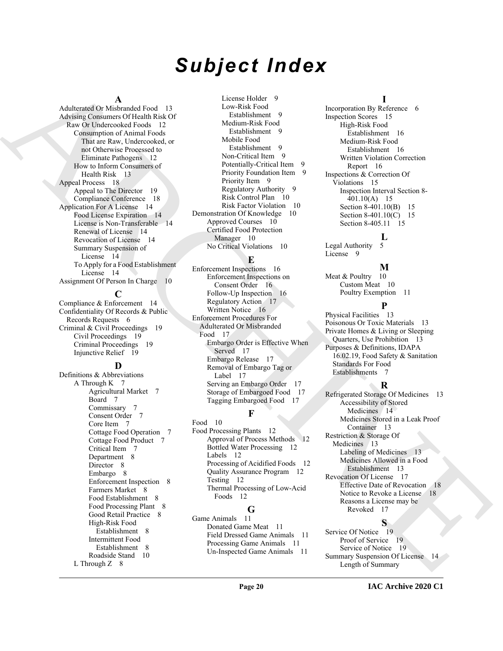# *Subject Index*

#### **A**

[A](#page-11-5)dmitrarian Mondard Corresponding (a consistent of the main of the state of the main of the state of the main of the state of the state of the main of the state of the state of the state of the state of the state of the s Adulterated Or Misbranded Food 13 Advising Consumers Of Health Risk Of Raw Or Undercooked Foods 12 Consumption of Animal Foods That are Raw, Undercooked, or not Otherwise Processed to Eliminate Pathogens 12 How to Inform Consumers of Health Risk 13 Appeal Process 18 Appeal to The Director 19 Compliance Conference 18 Application For A License 14 Food License Expiration 14 License is Non-Transferable 14 Renewal of License 14 Revocation of License 14 Summary Suspension of License 14 To Apply for a Food Establishment License 14 Assignment Of Person In Charge 10

#### **C**

Compliance & Enforcement 14 Confidentiality Of Records & Public Records Requests 6 Criminal & Civil Proceedings 19 Civil Proceedings 19 Criminal Proceedings 19 Injunctive Relief 19

#### **D**

Definitions & Abbreviations A Through K 7 Agricultural Market 7 Board 7 Commissary 7 Consent Order 7 Core Item 7 Cottage Food Operation 7 Cottage Food Product 7 Critical Item 7 Department 8 Director 8 Embargo 8 Enforcement Inspection 8 Farmers Market 8 Food Establishment 8 Food Processing Plant 8 Good Retail Practice 8 High-Risk Food Establishment 8 Intermittent Food Establishment 8 Roadside Stand 10 L Through Z 8

License Holder 9 Low-Risk Food Establishment 9 Medium-Risk Food Establishment 9 Mobile Food Establishment 9 Non-Critical Item 9 Potentially-Critical Item Priority Foundation Item 9 Priority Item 9 Regulatory Authority 9 Risk Control Plan 10 Risk Factor Violation 10 Demonstration Of Knowledge 10 Approved Courses 10 Certified Food Protection Manager 10 No Critical Violations 10

## **E**

Enforcement Inspections 16 Enforcement Inspections on Consent Order 16 Follow-Up Inspection 16 Regulatory Action 17 Written Notice 16 Enforcement Procedures For Adulterated Or Misbranded Food 17 Embargo Order is Effective When Served 17 Embargo Release 17 Removal of Embargo Tag or Label 17 Serving an Embargo Order 17 Storage of Embargoed Food 17 Tagging Embargoed Food 17

# **F**

Food 10 Food Processing Plants 12 Approval of Process Methods 12 Bottled Water Processing 12 Labels 12 Processing of Acidified Foods 12 Quality Assurance Program 12 Testing 12 Thermal Processing of Low-Acid Foods 12

# **G**

Game Animals 11 Donated Game Meat 11 Field Dressed Game Animals 11 Processing Game Animals 11 Un-Inspected Game Animals 11

#### **I**

Incorporation By Reference 6 Inspection Scores 15 High-Risk Food Establishment 16 Medium-Risk Food Establishment 16 Written Violation Correction Report 16 Inspections & Correction Of Violations 15 Inspection Interval Section 8- 401.10(A) 15 Section 8-401.10(B) 15 Section 8-401.10(C) 15 Section 8-405.11 15

# **L**

Legal Authority 5 License 9

## **M**

Meat & Poultry 10 Custom Meat 10 Poultry Exemption 11

## **P**

Physical Facilities 13 Poisonous Or Toxic Materials 13 Private Homes & Living or Sleeping Quarters, Use Prohibition 13 Purposes & Definitions, IDAPA 16.02.19, Food Safety & Sanitation Standards For Food Establishments 7

# **R**

Refrigerated Storage Of Medicines 13 Accessibility of Stored Medicines 14 Medicines Stored in a Leak Proof Container 13 Restriction & Storage Of Medicines 13 Labeling of Medicines 13 Medicines Allowed in a Food Establishment 13 Revocation Of License 17 Effective Date of Revocation 18 Notice to Revoke a License 18 Reasons a License may be Revoked 17

**S**

Service Of Notice 19 Proof of Service 19 Service of Notice 19 Summary Suspension Of License 14 Length of Summary